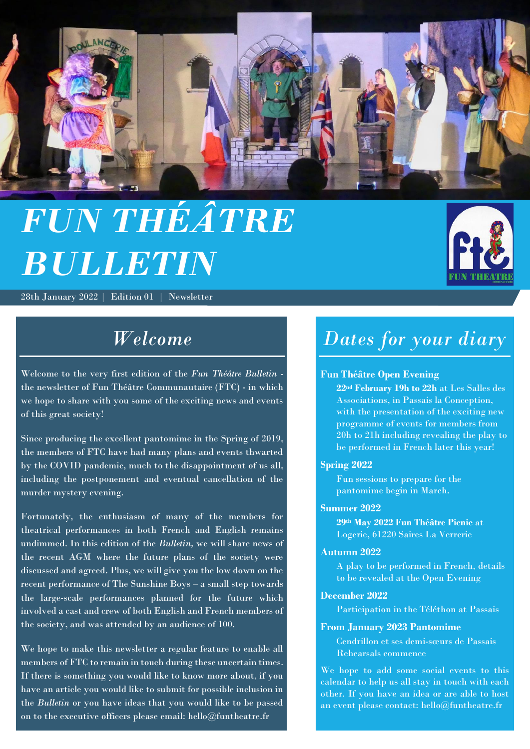

# *FUN THÉÂTRE BULLETIN*

28th January 2022 | Edition 01 | Newsletter



## *Welcome*

Welcome to the very first edition of the *Fun Théâtre Bulletin* the newsletter of Fun Théâtre Communautaire (FTC) - in which we hope to share with you some of the exciting news and events of this great society!

Since producing the excellent pantomime in the Spring of 2019, the members of FTC have had many plans and events thwarted by the COVID pandemic, much to the disappointment of us all, including the postponement and eventual cancellation of the murder mystery evening.

Fortunately, the enthusiasm of many of the members for theatrical performances in both French and English remains undimmed. In this edition of the *Bulletin,* we will share news of the recent AGM where the future plans of the society were discussed and agreed. Plus, we will give you the low down on the recent performance of The Sunshine Boys – a small step towards the large-scale performances planned for the future which involved a cast and crew of both English and French members of the society, and was attended by an audience of 100.

We hope to make this newsletter a regular feature to enable all members of FTC to remain in touch during these uncertain times. If there is something you would like to know more about, if you have an article you would like to submit for possible inclusion in the *Bulletin* or you have ideas that you would like to be passed on to the executive officers please email: hello@funtheatre.fr

## *Dates for your diary*

## **Fun Théâtre Open Evening**

**22nd February 19h to 22h** at Les Salles des Associations, in Passais la Conception, with the presentation of the exciting new programme of events for members from 20h to 21h including revealing the play to be performed in French later this year!

### **Spring 2022**

Fun sessions to prepare for the pantomime begin in March.

### **Summer 2022**

**29th May 2022 Fun Théâtre Picnic** at Logerie, 61220 Saires La Verrerie

## **Autumn 2022**

A play to be performed in French, details to be revealed at the Open Evening

#### **December 2022**

Participation in the Téléthon at Passais

### **From January 2023 Pantomime**

Cendrillon et ses demi-sœurs de Passais Rehearsals commence

We hope to add some social events to this calendar to help us all stay in touch with each other. If you have an idea or are able to host an event please contact: hello@funtheatre.fr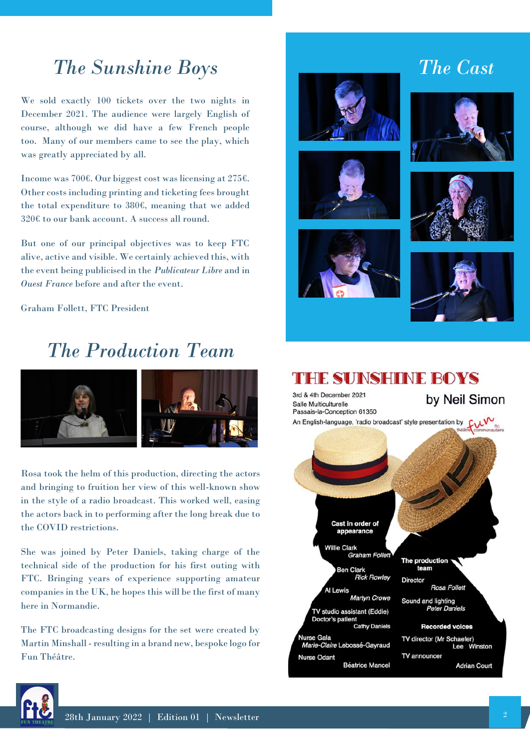## *The Sunshine Boys*

We sold exactly 100 tickets over the two nights in December 2021. The audience were largely English of course, although we did have a few French people too. Many of our members came to see the play, which was greatly appreciated by all.

Income was 700€. Our biggest cost was licensing at 275€. Other costs including printing and ticketing fees brought the total expenditure to 380€, meaning that we added 320€ to our bank account. A success all round.

But one of our principal objectives was to keep FTC alive, active and visible. We certainly achieved this, with the event being publicised in the *Publicateur Libre* and in *Ouest France* before and after the event.

Graham Follett, FTC President

## *The Production Team*



Rosa took the helm of this production, directing the actors and bringing to fruition her view of this well-known show in the style of a radio broadcast. This worked well, easing the actors back in to performing after the long break due to the COVID restrictions.

She was joined by Peter Daniels, taking charge of the technical side of the production for his first outing with FTC. Bringing years of experience supporting amateur companies in the UK, he hopes this will be the first of many here in Normandie.

The FTC broadcasting designs for the set were created by Martin Minshall - resulting in a brand new, bespoke logo for Fun Théâtre.







 *The Cast*







#### THE SUINSHINE BOYS 3rd & 4th December 2021 by Neil Simon Salle Multiculturelle Passais-la-Conception 61350 An English-language, 'radio broadcast' style presentation by  $\mathbf{v}$ Cast in order of appearance **Willie Clark Graham Follett** The production team **Ben Clark Rick Rowley Director** Rosa Follett Al Lewis Martyn Crowe Sound and lighting **Peter Daniels TV studio assistant (Eddie)** Doctor's patient **Cathy Daniels Recorded voices** Nurse Gala<br>*Marie-Claire* Lebossé-Gayraud TV director (Mr Schaefer) Lee Winston **Nurse Odant** TV announcer **Béatrice Mancel Adrian Court**

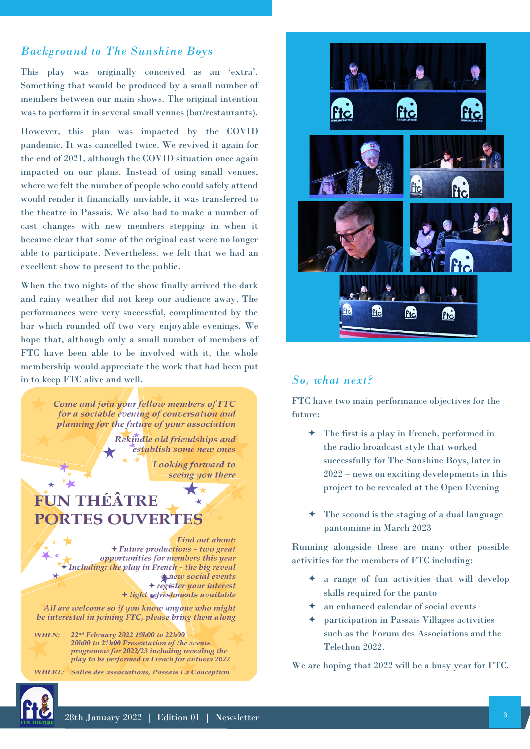## *Background to The Sunshine Boys*

This play was originally conceived as an 'extra'. Something that would be produced by a small number of members between our main shows. The original intention was to perform it in several small venues (bar/restaurants).

However, this plan was impacted by the COVID pandemic. It was cancelled twice. We revived it again for the end of 2021, although the COVID situation once again impacted on our plans. Instead of using small venues, where we felt the number of people who could safely attend would render it financially unviable, it was transferred to the theatre in Passais. We also had to make a number of cast changes with new members stepping in when it became clear that some of the original cast were no longer able to participate. Nevertheless, we felt that we had an excellent show to present to the public.

When the two nights of the show finally arrived the dark and rainy weather did not keep our audience away. The performances were very successful, complimented by the bar which rounded off two very enjoyable evenings. We hope that, although only a small number of members of FTC have been able to be involved with it, the whole membership would appreciate the work that had been put in to keep FTC alive and well. *So, what next?*

Come and join your fellow members of FTC for a sociable evening of conversation and planning for the future of your association

> Rekindle old friendships and establish some new ones

> > Looking forward to seeing you there

## **FUN THÉÂTRE PORTES OUVERTES**

Find out about: + Future productions - two great opportunities for members this year + Including: the play in French - the big reveal *thew* social events + register your interest + light refreshments available

All are welcome so if you know anyone who might be interested in joining FTC, please bring them along

22nd February 2022 19h00 to 22h00 WHEN: 20h00 to 21h00 Presentation of the events programme for 2022/23 including revealing the play to be performed in French for autumn 2022

WHERE: Salles des associations, Passais La Conception



FTC have two main performance objectives for the future:

- The first is a play in French, performed in the radio broadcast style that worked successfully for The Sunshine Boys, later in 2022 – news on exciting developments in this project to be revealed at the Open Evening
- The second is the staging of a dual language pantomime in March 2023

Running alongside these are many other possible activities for the members of FTC including:

- a range of fun activities that will develop skills required for the panto
- an enhanced calendar of social events
- participation in Passais Villages activities such as the Forum des Associations and the Telethon 2022.

We are hoping that 2022 will be a busy year for FTC.



 $\star$